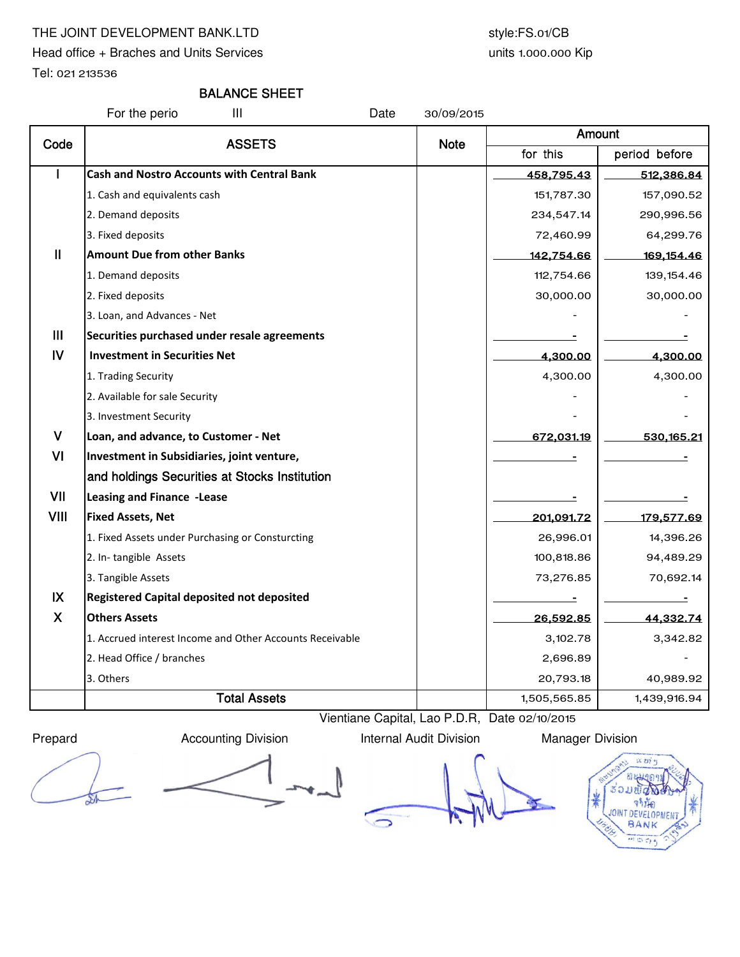## THE JOINT DEVELOPMENT BANK.LTD style:FS.01/CB

Head office + Braches and Units Services

Tel: 021 213536

## BALANCE SHEET

For the perio III Date 30/09/2015

| Code           | <b>ASSETS</b>                                            | <b>Note</b> | Amount       |               |  |
|----------------|----------------------------------------------------------|-------------|--------------|---------------|--|
|                |                                                          |             | for this     | period before |  |
|                | <b>Cash and Nostro Accounts with Central Bank</b>        |             | 458,795.43   | 512,386.84    |  |
|                | 1. Cash and equivalents cash                             |             | 151,787.30   | 157,090.52    |  |
|                | 2. Demand deposits                                       |             | 234,547.14   | 290,996.56    |  |
|                | 3. Fixed deposits                                        |             | 72,460.99    | 64,299.76     |  |
| $\mathbf{I}$   | <b>Amount Due from other Banks</b>                       |             | 142,754.66   | 169,154.46    |  |
|                | 1. Demand deposits                                       |             | 112,754.66   | 139, 154.46   |  |
|                | 2. Fixed deposits                                        |             | 30,000.00    | 30,000.00     |  |
|                | 3. Loan, and Advances - Net                              |             |              |               |  |
| III            | Securities purchased under resale agreements             |             |              |               |  |
| $\overline{N}$ | <b>Investment in Securities Net</b>                      |             | 4,300.00     | 4,300.00      |  |
|                | 1. Trading Security                                      |             | 4,300.00     | 4,300.00      |  |
|                | 2. Available for sale Security                           |             |              |               |  |
|                | 3. Investment Security                                   |             |              |               |  |
| $\mathsf{V}$   | Loan, and advance, to Customer - Net                     |             | 672,031.19   | 530, 165.21   |  |
| VI             | Investment in Subsidiaries, joint venture,               |             |              |               |  |
|                | and holdings Securities at Stocks Institution            |             |              |               |  |
| VII            | Leasing and Finance -Lease                               |             |              |               |  |
| <b>VIII</b>    | <b>Fixed Assets, Net</b>                                 |             | 201,091.72   | 179,577.69    |  |
|                | 1. Fixed Assets under Purchasing or Consturcting         |             | 26,996.01    | 14,396.26     |  |
|                | 2. In-tangible Assets                                    |             | 100,818.86   | 94,489.29     |  |
|                | 3. Tangible Assets                                       |             | 73,276.85    | 70,692.14     |  |
| $\mathsf{IX}$  | <b>Registered Capital deposited not deposited</b>        |             |              |               |  |
| $\mathsf{X}$   | <b>Others Assets</b>                                     |             | 26,592.85    | 44,332.74     |  |
|                | 1. Accrued interest Income and Other Accounts Receivable |             | 3,102.78     | 3,342.82      |  |
|                | 2. Head Office / branches                                |             | 2,696.89     |               |  |
|                | 3. Others                                                |             | 20,793.18    | 40,989.92     |  |
|                | <b>Total Assets</b>                                      |             | 1,505,565.85 | 1,439,916.94  |  |

Prepard **Accounting Division** Internal Audit Division Manager Division

Vientiane Capital, Lao P.D.R, Date 02/10/2015

 $\bigcirc$ 



units 1.000.000 Kip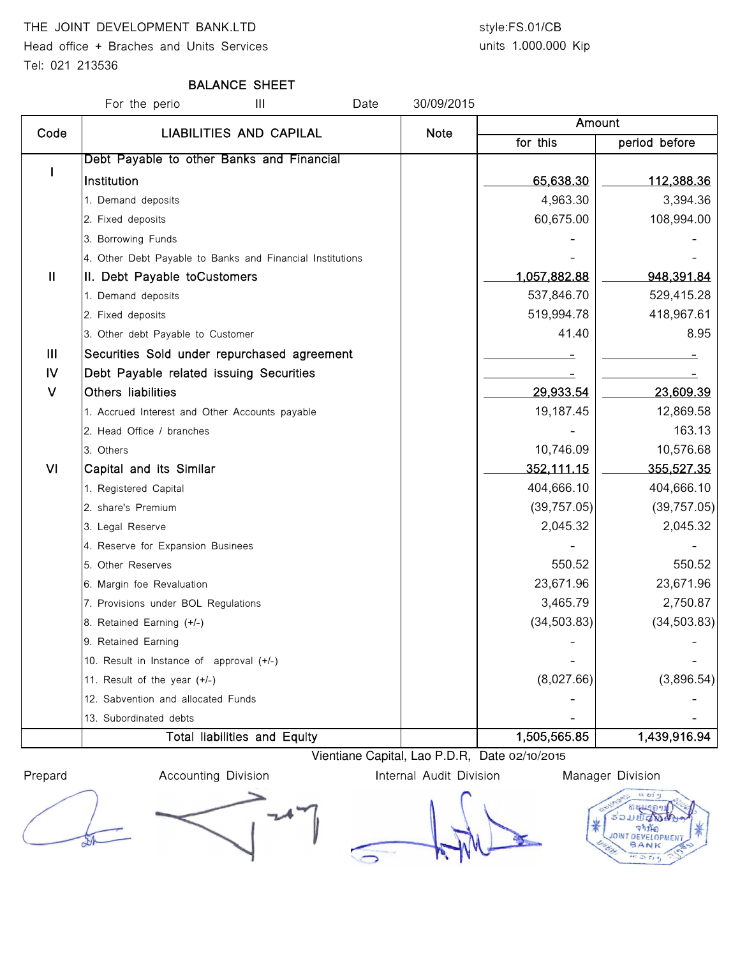## THE JOINT DEVELOPMENT BANK.LTD style:FS.01/CB

Head office + Braches and Units Services

Tel: 021 213536

units 1.000.000 Kip

## BALANCE SHEET

For the perio **III** Date 30/09/2015 for this | period before I Debt Payable to other Banks and Financial lnstitution 65,638.30 | \_\_\_\_\_\_112,388.36 1. Demand deposits 3,394.36 2. Fixed deposits 108,994.00 3. Borrowing Funds 4. Other Debt Payable to Banks and Financial Institutions II | II. Debt Payable toCustomers | 1,057,882.88 | 948,391.84 1. Demand deposits 629,415.28 2. Fixed deposits 519,994.78 418,967.61 3. Other debt Payable to Customer 41.40 and  $\overline{a}$  41.40  $\overline{a}$  8.95 III Securities Sold under repurchased agreement - - IV Debt Payable related issuing Securities And Alexander Manual Alexander Contract Legislation of the securities V Others liabilities 29,933.54 23,609.39 1. Accrued Interest and Other Accounts payable 19,187.45 19,187.45 12,869.58 2. Head Office / branches - 163.13 and 163.13 and 163.13 and 163.13 and 163.13 and 163.13 and 163.13 and 163.13 3. Others 10,746.09 10,576.68 Amount Code | LIABILITIES AND CAPILAL | Note VI Capital and its Similar 352,111.15 355,527.35 1. Registered Capital 1. **Alternative Capital 1. Alternative Capital 1. Alternative Capital 404,666.10** 404,666.10 2. share's Premium (39,757.05) (39,757.05) 3. Legal Reserve 2,045.32 2,045.32 4. Reserve for Expansion Businees 5. Other Reserves 550.52 550.52 6. Margin foe Revaluation 23,671.96 23,671.96 7. Provisions under BOL Regulations 3,465.79 2,750.87 8. Retained Earning (+/-) (34,503.83) 9. Retained Earning 10. Result in Instance of approval  $(+/-)$ 11. Result of the year (+/-) (3,896.54) (3,896.54) 12. Sabvention and allocated Funds 13. Subordinated debts Total liabilities and Equity 1,505,565.85 1,439,916.94

Vientiane Capital, Lao P.D.R, Date 02/10/2015

Prepard **Accounting Division Internal Audit Division** Manager Division

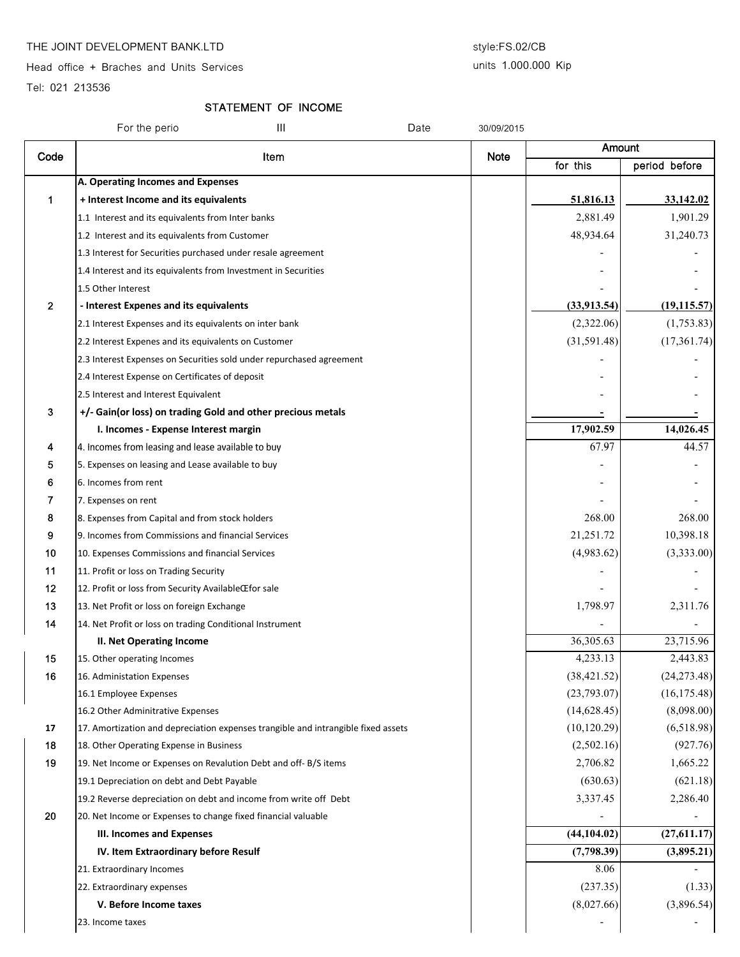#### THE JOINT DEVELOPMENT BANK.LTD style:FS.02/CB

Head office + Braches and Units Services

### units 1.000.000 Kip

Tel: 021 213536

## STATEMENT OF INCOME

|                | For the perio<br>Ш                                                                | Date | 30/09/2015  |              |               |
|----------------|-----------------------------------------------------------------------------------|------|-------------|--------------|---------------|
| Code           |                                                                                   |      |             | Amount       |               |
|                | Item                                                                              |      | <b>Note</b> | for this     | period before |
|                | A. Operating Incomes and Expenses                                                 |      |             |              |               |
| 1              | + Interest Income and its equivalents                                             |      |             | 51,816.13    | 33,142.02     |
|                | 1.1 Interest and its equivalents from Inter banks                                 |      |             | 2,881.49     | 1,901.29      |
|                | 1.2 Interest and its equivalents from Customer                                    |      |             | 48,934.64    | 31,240.73     |
|                | 1.3 Interest for Securities purchased under resale agreement                      |      |             |              |               |
|                | 1.4 Interest and its equivalents from Investment in Securities                    |      |             |              |               |
|                | 1.5 Other Interest                                                                |      |             |              |               |
| $\overline{2}$ | - Interest Expenes and its equivalents                                            |      |             | (33,913.54)  | (19, 115.57)  |
|                | 2.1 Interest Expenses and its equivalents on inter bank                           |      |             | (2,322.06)   | (1,753.83)    |
|                | 2.2 Interest Expenes and its equivalents on Customer                              |      |             | (31,591.48)  | (17, 361.74)  |
|                | 2.3 Interest Expenses on Securities sold under repurchased agreement              |      |             |              |               |
|                | 2.4 Interest Expense on Certificates of deposit                                   |      |             |              |               |
|                | 2.5 Interest and Interest Equivalent                                              |      |             |              |               |
| 3              | +/- Gain(or loss) on trading Gold and other precious metals                       |      |             |              |               |
|                | I. Incomes - Expense Interest margin                                              |      |             | 17,902.59    | 14,026.45     |
| 4              | 4. Incomes from leasing and lease available to buy                                |      |             | 67.97        | 44.57         |
| 5              | 5. Expenses on leasing and Lease available to buy                                 |      |             |              |               |
| 6              | 6. Incomes from rent                                                              |      |             |              |               |
| 7              | 7. Expenses on rent                                                               |      |             |              |               |
| 8              | 8. Expenses from Capital and from stock holders                                   |      |             | 268.00       | 268.00        |
| 9              | 9. Incomes from Commissions and financial Services                                |      |             | 21,251.72    | 10,398.18     |
| 10             | 10. Expenses Commissions and financial Services                                   |      |             | (4,983.62)   | (3,333.00)    |
| 11             | 11. Profit or loss on Trading Security                                            |      |             |              |               |
| 12             | 12. Profit or loss from Security AvailableŒfor sale                               |      |             |              |               |
| 13             | 13. Net Profit or loss on foreign Exchange                                        |      |             | 1,798.97     | 2,311.76      |
| 14             | 14. Net Profit or loss on trading Conditional Instrument                          |      |             |              |               |
|                | <b>II. Net Operating Income</b>                                                   |      |             | 36,305.63    | 23,715.96     |
| 15             | 15. Other operating Incomes                                                       |      |             | 4,233.13     | 2,443.83      |
| 16             | 16. Administation Expenses                                                        |      |             | (38, 421.52) | (24, 273.48)  |
|                | 16.1 Employee Expenses                                                            |      |             | (23,793.07)  | (16, 175.48)  |
|                | 16.2 Other Adminitrative Expenses                                                 |      |             | (14, 628.45) | (8,098.00)    |
| 17             | 17. Amortization and depreciation expenses trangible and intrangible fixed assets |      |             | (10, 120.29) | (6,518.98)    |
| 18             | 18. Other Operating Expense in Business                                           |      |             | (2,502.16)   | (927.76)      |
| 19             | 19. Net Income or Expenses on Revalution Debt and off-B/S items                   |      |             | 2,706.82     | 1,665.22      |
|                | 19.1 Depreciation on debt and Debt Payable                                        |      |             | (630.63)     | (621.18)      |
|                | 19.2 Reverse depreciation on debt and income from write off Debt                  |      |             | 3,337.45     | 2,286.40      |
| 20             | 20. Net Income or Expenses to change fixed financial valuable                     |      |             |              |               |
|                | <b>III. Incomes and Expenses</b>                                                  |      |             | (44, 104.02) | (27,611.17)   |
|                | IV. Item Extraordinary before Resulf                                              |      |             | (7,798.39)   | (3,895.21)    |
|                | 21. Extraordinary Incomes                                                         |      |             | 8.06         |               |
|                | 22. Extraordinary expenses                                                        |      |             | (237.35)     | (1.33)        |
|                | V. Before Income taxes                                                            |      |             | (8,027.66)   | (3,896.54)    |
|                | 23. Income taxes                                                                  |      |             |              |               |
|                |                                                                                   |      |             |              |               |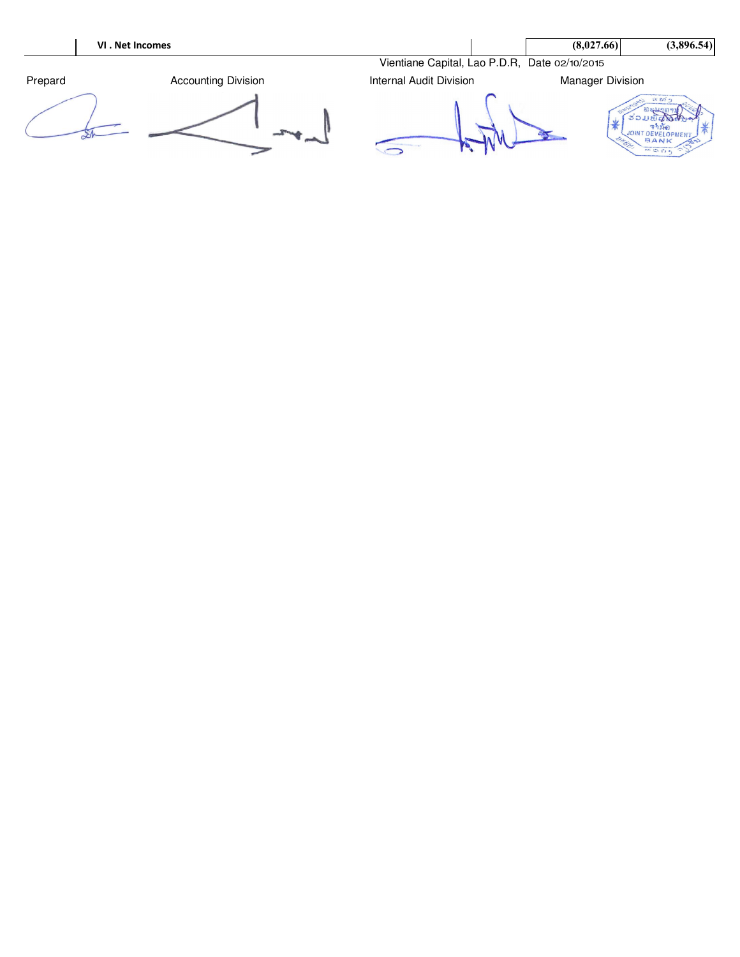|         | VI. Net Incomes            |                                               | (8,027.66)              | (3,896.54)                                                                                |
|---------|----------------------------|-----------------------------------------------|-------------------------|-------------------------------------------------------------------------------------------|
|         |                            | Vientiane Capital, Lao P.D.R, Date 02/10/2015 |                         |                                                                                           |
| Prepard | <b>Accounting Division</b> | <b>Internal Audit Division</b>                | <b>Manager Division</b> |                                                                                           |
|         |                            |                                               |                         | $26 - 237 - 41$<br>BANK<br><b><i>CONTRACTORSKY ENGINEERING</i></b><br>$-25$ (2) $-2$ $-1$ |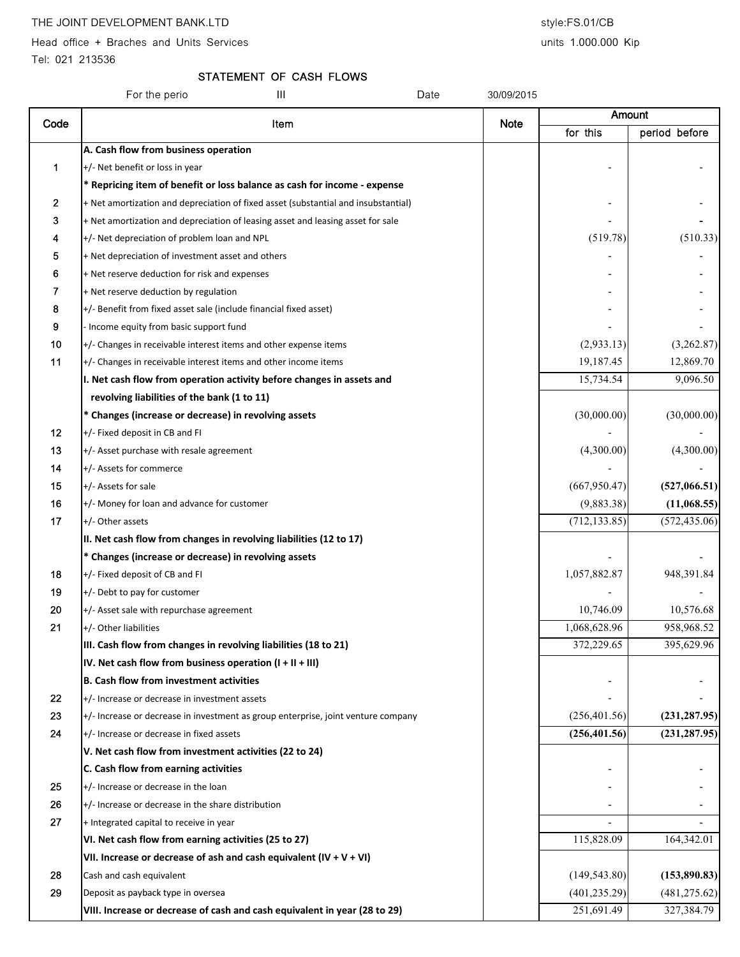Head office + Braches and Units Services and Units 1.000.000 Kip

Tel: 021 213536

# STATEMENT OF CASH FLOWS

|      | Ш<br>For the perio                                                                 | Date<br>30/09/2015 |               |               |
|------|------------------------------------------------------------------------------------|--------------------|---------------|---------------|
| Code | Item                                                                               | <b>Note</b>        | Amount        |               |
|      |                                                                                    |                    | for this      | period before |
|      | A. Cash flow from business operation                                               |                    |               |               |
| 1    | +/- Net benefit or loss in year                                                    |                    |               |               |
|      | * Repricing item of benefit or loss balance as cash for income - expense           |                    |               |               |
| 2    | + Net amortization and depreciation of fixed asset (substantial and insubstantial) |                    |               |               |
| 3    | + Net amortization and depreciation of leasing asset and leasing asset for sale    |                    |               |               |
| 4    | +/- Net depreciation of problem loan and NPL                                       |                    | (519.78)      | (510.33)      |
| 5    | + Net depreciation of investment asset and others                                  |                    |               |               |
| 6    | + Net reserve deduction for risk and expenses                                      |                    |               |               |
| 7    | + Net reserve deduction by regulation                                              |                    |               |               |
| 8    | +/- Benefit from fixed asset sale (include financial fixed asset)                  |                    |               |               |
| 9    | - Income equity from basic support fund                                            |                    |               |               |
| 10   | +/- Changes in receivable interest items and other expense items                   |                    | (2,933.13)    | (3,262.87)    |
| 11   | +/- Changes in receivable interest items and other income items                    |                    | 19,187.45     | 12,869.70     |
|      | I. Net cash flow from operation activity before changes in assets and              |                    | 15,734.54     | 9,096.50      |
|      | revolving liabilities of the bank (1 to 11)                                        |                    |               |               |
|      | * Changes (increase or decrease) in revolving assets                               |                    | (30,000.00)   | (30,000.00)   |
| 12   | +/- Fixed deposit in CB and FI                                                     |                    |               |               |
| 13   | +/- Asset purchase with resale agreement                                           |                    | (4,300.00)    | (4,300.00)    |
| 14   | +/- Assets for commerce                                                            |                    |               |               |
| 15   | +/- Assets for sale                                                                |                    | (667, 950.47) | (527,066.51)  |
| 16   | +/- Money for loan and advance for customer                                        |                    | (9,883.38)    | (11,068.55)   |
| 17   | +/- Other assets                                                                   |                    | (712, 133.85) | (572, 435.06) |
|      | II. Net cash flow from changes in revolving liabilities (12 to 17)                 |                    |               |               |
|      | * Changes (increase or decrease) in revolving assets                               |                    |               |               |
| 18   | +/- Fixed deposit of CB and FI                                                     |                    | 1,057,882.87  | 948,391.84    |
| 19   | +/- Debt to pay for customer                                                       |                    |               |               |
| 20   | +/- Asset sale with repurchase agreement                                           |                    | 10,746.09     | 10,576.68     |
| 21   | +/- Other liabilities                                                              |                    | 1,068,628.96  | 958,968.52    |
|      | III. Cash flow from changes in revolving liabilities (18 to 21)                    |                    | 372,229.65    | 395,629.96    |
|      | IV. Net cash flow from business operation $(I + II + III)$                         |                    |               |               |
|      | <b>B. Cash flow from investment activities</b>                                     |                    |               |               |
| 22   | +/- Increase or decrease in investment assets                                      |                    |               |               |
| 23   | +/- Increase or decrease in investment as group enterprise, joint venture company  |                    | (256, 401.56) | (231, 287.95) |
| 24   | +/- Increase or decrease in fixed assets                                           |                    | (256, 401.56) | (231, 287.95) |
|      | V. Net cash flow from investment activities (22 to 24)                             |                    |               |               |
|      | C. Cash flow from earning activities                                               |                    |               |               |
| 25   | +/- Increase or decrease in the loan                                               |                    |               |               |
| 26   | +/- Increase or decrease in the share distribution                                 |                    |               |               |
| 27   | + Integrated capital to receive in year                                            |                    |               |               |
|      | VI. Net cash flow from earning activities (25 to 27)                               |                    | 115,828.09    | 164,342.01    |
|      | VII. Increase or decrease of ash and cash equivalent $(IV + V + VI)$               |                    |               |               |
| 28   | Cash and cash equivalent                                                           |                    | (149, 543.80) | (153,890.83)  |
| 29   | Deposit as payback type in oversea                                                 |                    | (401, 235.29) | (481, 275.62) |
|      | VIII. Increase or decrease of cash and cash equivalent in year (28 to 29)          |                    | 251,691.49    | 327,384.79    |
|      |                                                                                    |                    |               |               |